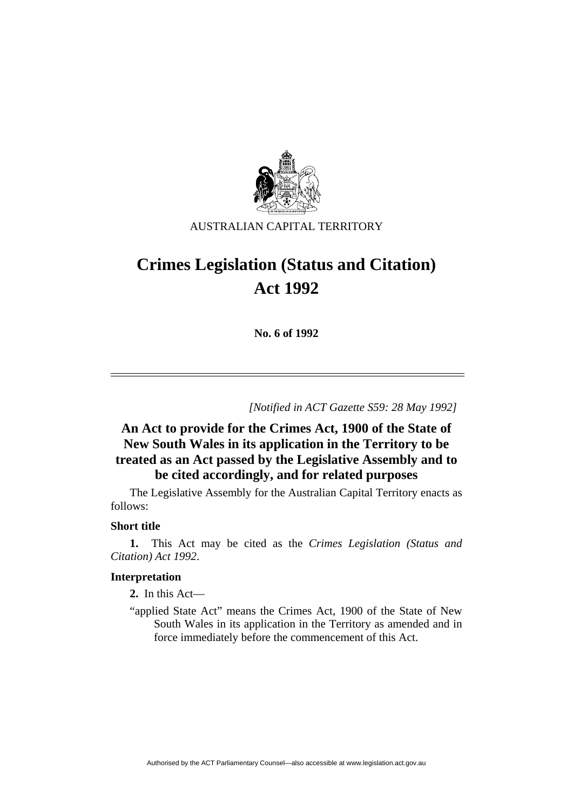

AUSTRALIAN CAPITAL TERRITORY

# **Crimes Legislation (Status and Citation) Act 1992**

**No. 6 of 1992** 

*[Notified in ACT Gazette S59: 28 May 1992]*

## **An Act to provide for the Crimes Act, 1900 of the State of New South Wales in its application in the Territory to be treated as an Act passed by the Legislative Assembly and to be cited accordingly, and for related purposes**

 The Legislative Assembly for the Australian Capital Territory enacts as follows:

### **Short title**

**1.** This Act may be cited as the *Crimes Legislation (Status and Citation) Act 1992*.

#### **Interpretation**

**2.** In this Act—

"applied State Act" means the Crimes Act, 1900 of the State of New South Wales in its application in the Territory as amended and in force immediately before the commencement of this Act.